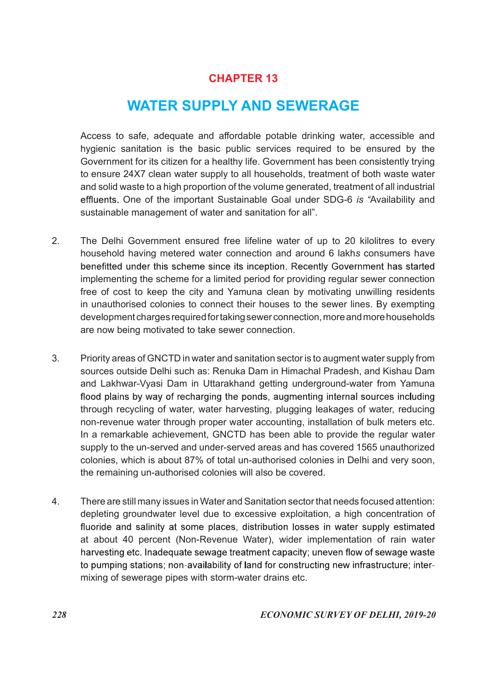# CHAPTER 13

# WATER SUPPLY AND SEWERAGE

 Access to safe, adequate and affordable potable drinking water, accessible and hygienic sanitation is the basic public services required to be ensured by the Government for its citizen for a healthy life. Government has been consistently trying to ensure 24X7 clean water supply to all households, treatment of both waste water and solid waste to a high proportion of the volume generated, treatment of all industrial effluents. One of the important Sustainable Goal under SDG-6 is "Availability and sustainable management of water and sanitation for all".

- 2. The Delhi Government ensured free lifeline water of up to 20 kilolitres to every household having metered water connection and around 6 lakhs consumers have benefitted under this scheme since its inception. Recently Government has started implementing the scheme for a limited period for providing regular sewer connection free of cost to keep the city and Yamuna clean by motivating unwilling residents in unauthorised colonies to connect their houses to the sewer lines. By exempting development charges required for taking sewer connection, more and more households are now being motivated to take sewer connection.
- 3. Priority areas of GNCTD in water and sanitation sector is to augment water supply from sources outside Delhi such as: Renuka Dam in Himachal Pradesh, and Kishau Dam and Lakhwar-Vyasi Dam in Uttarakhand getting underground-water from Yamuna flood plains by way of recharging the ponds, augmenting internal sources including through recycling of water, water harvesting, plugging leakages of water, reducing non-revenue water through proper water accounting, installation of bulk meters etc. In a remarkable achievement, GNCTD has been able to provide the regular water supply to the un-served and under-served areas and has covered 1565 unauthorized colonies, which is about 87% of total un-authorised colonies in Delhi and very soon, the remaining un-authorised colonies will also be covered.
- 4. There are still many issues in Water and Sanitation sector that needs focused attention: depleting groundwater level due to excessive exploitation, a high concentration of fluoride and salinity at some places, distribution losses in water supply estimated at about 40 percent (Non-Revenue Water), wider implementation of rain water harvesting etc. Inadequate sewage treatment capacity; uneven flow of sewage waste to pumping stations; non-availability of land for constructing new infrastructure; intermixing of sewerage pipes with storm-water drains etc.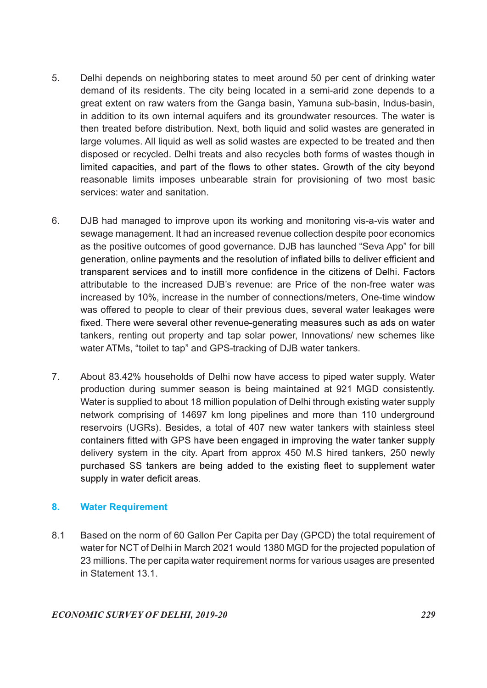- 5. Delhi depends on neighboring states to meet around 50 per cent of drinking water demand of its residents. The city being located in a semi-arid zone depends to a great extent on raw waters from the Ganga basin, Yamuna sub-basin, Indus-basin, in addition to its own internal aquifers and its groundwater resources. The water is then treated before distribution. Next, both liquid and solid wastes are generated in large volumes. All liquid as well as solid wastes are expected to be treated and then disposed or recycled. Delhi treats and also recycles both forms of wastes though in limited capacities, and part of the flows to other states. Growth of the city beyond reasonable limits imposes unbearable strain for provisioning of two most basic services: water and sanitation.
- 6. DJB had managed to improve upon its working and monitoring vis-a-vis water and sewage management. It had an increased revenue collection despite poor economics as the positive outcomes of good governance. DJB has launched "Seva App" for bill generation, online payments and the resolution of inflated bills to deliver efficient and transparent services and to instill more confidence in the citizens of Delhi. Factors attributable to the increased DJB's revenue: are Price of the non-free water was increased by 10%, increase in the number of connections/meters, One-time window was offered to people to clear of their previous dues, several water leakages were fixed. There were several other revenue-generating measures such as ads on water tankers, renting out property and tap solar power, Innovations/ new schemes like water ATMs, "toilet to tap" and GPS-tracking of DJB water tankers.
- 7. About 83.42% households of Delhi now have access to piped water supply. Water production during summer season is being maintained at 921 MGD consistently. Water is supplied to about 18 million population of Delhi through existing water supply network comprising of 14697 km long pipelines and more than 110 underground reservoirs (UGRs). Besides, a total of 407 new water tankers with stainless steel containers fitted with GPS have been engaged in improving the water tanker supply delivery system in the city. Apart from approx 450 M.S hired tankers, 250 newly purchased SS tankers are being added to the existing fleet to supplement water supply in water deficit areas.

# 8. Water Requirement

8.1 Based on the norm of 60 Gallon Per Capita per Day (GPCD) the total requirement of water for NCT of Delhi in March 2021 would 1380 MGD for the projected population of 23 millions. The per capita water requirement norms for various usages are presented in Statement 13.1.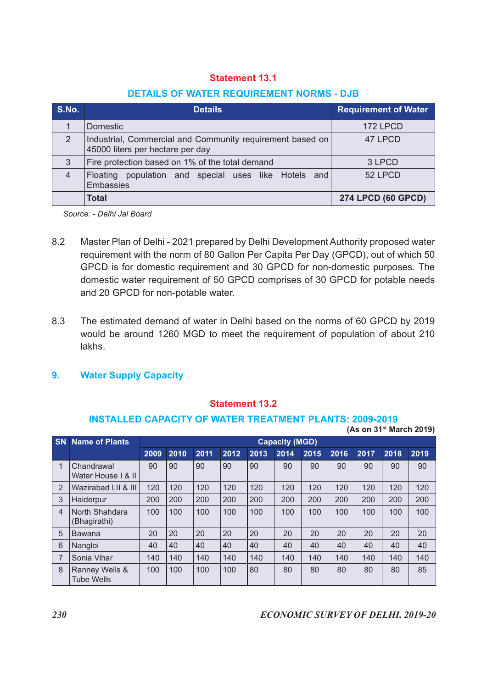#### DETAILS OF WATER REQUIREMENT NORMS - DJB

|                | <b>Statement 13.1</b>                                                                         |                             |
|----------------|-----------------------------------------------------------------------------------------------|-----------------------------|
|                | <b>DETAILS OF WATER REQUIREMENT NORMS - DJB</b>                                               |                             |
| S.No.          | <b>Details</b>                                                                                | <b>Requirement of Water</b> |
| $\mathbf{1}$   | Domestic                                                                                      | 172 LPCD                    |
| $\overline{2}$ | Industrial, Commercial and Community requirement based on<br>45000 liters per hectare per day | 47 LPCD                     |
| $\mathfrak{S}$ | Fire protection based on 1% of the total demand                                               | 3 LPCD                      |
| $\overline{4}$ | Floating population and special uses like Hotels and<br>Embassies                             | 52 LPCD                     |

- 8.2 Master Plan of Delhi 2021 prepared by Delhi Development Authority proposed water requirement with the norm of 80 Gallon Per Capita Per Day (GPCD), out of which 50 GPCD is for domestic requirement and 30 GPCD for non-domestic purposes. The domestic water requirement of 50 GPCD comprises of 30 GPCD for potable needs and 20 GPCD for non-potable water.
- 8.3 The estimated demand of water in Delhi based on the norms of 60 GPCD by 2019 would be around 1260 MGD to meet the requirement of population of about 210 lakhs.

#### 9. Water Supply Capacity

#### Statement 13.2

#### INSTALLED CAPACITY OF WATER TREATMENT PLANTS: 2009-2019

| 8.2             |                                                                                                                                                                                                                                                                                                                                                                              |      |      |      |                       |      |                       |      |      |      |      |                                     |
|-----------------|------------------------------------------------------------------------------------------------------------------------------------------------------------------------------------------------------------------------------------------------------------------------------------------------------------------------------------------------------------------------------|------|------|------|-----------------------|------|-----------------------|------|------|------|------|-------------------------------------|
|                 | Master Plan of Delhi - 2021 prepared by Delhi Development Authority proposed water<br>requirement with the norm of 80 Gallon Per Capita Per Day (GPCD), out of which 50<br>GPCD is for domestic requirement and 30 GPCD for non-domestic purposes. The<br>domestic water requirement of 50 GPCD comprises of 30 GPCD for potable needs<br>and 20 GPCD for non-potable water. |      |      |      |                       |      |                       |      |      |      |      |                                     |
| 8.3             | The estimated demand of water in Delhi based on the norms of 60 GPCD by 2019<br>would be around 1260 MGD to meet the requirement of population of about 210<br>lakhs.                                                                                                                                                                                                        |      |      |      |                       |      |                       |      |      |      |      |                                     |
| 9.              | <b>Water Supply Capacity</b>                                                                                                                                                                                                                                                                                                                                                 |      |      |      |                       |      |                       |      |      |      |      |                                     |
|                 | <b>INSTALLED CAPACITY OF WATER TREATMENT PLANTS: 2009-2019</b>                                                                                                                                                                                                                                                                                                               |      |      |      | <b>Statement 13.2</b> |      |                       |      |      |      |      |                                     |
|                 |                                                                                                                                                                                                                                                                                                                                                                              |      |      |      |                       |      |                       |      |      |      |      | (As on 31 <sup>st</sup> March 2019) |
|                 | <b>SN</b> Name of Plants                                                                                                                                                                                                                                                                                                                                                     |      |      |      |                       |      | <b>Capacity (MGD)</b> |      |      |      |      |                                     |
|                 |                                                                                                                                                                                                                                                                                                                                                                              | 2009 | 2010 | 2011 | 2012                  | 2013 | 2014                  | 2015 | 2016 | 2017 | 2018 | 2019                                |
| $\mathbf{1}$    | Chandrawal<br>Water House I & II                                                                                                                                                                                                                                                                                                                                             | 90   | 90   | 90   | 90                    | 90   | 90                    | 90   | 90   | 90   | 90   | 90                                  |
| 2               | Wazirabad I,II & III                                                                                                                                                                                                                                                                                                                                                         | 120  | 120  | 120  | 120                   | 120  | 120                   | 120  | 120  | 120  | 120  | 120                                 |
| 3               | Haiderpur                                                                                                                                                                                                                                                                                                                                                                    | 200  | 200  | 200  | 200                   | 200  | 200                   | 200  | 200  | 200  | 200  | 200                                 |
|                 | 4 North Shahdara<br>(Bhagirathi)                                                                                                                                                                                                                                                                                                                                             | 100  | 100  | 100  | 100                   | 100  | 100                   | 100  | 100  | 100  | 100  | 100                                 |
| $5\phantom{.0}$ | Bawana                                                                                                                                                                                                                                                                                                                                                                       | 20   | 20   | 20   | 20                    | 20   | 20                    | 20   | 20   | 20   | 20   | 20                                  |
| $6\phantom{1}$  | Nangloi                                                                                                                                                                                                                                                                                                                                                                      | 40   | 40   | 40   | 40                    | 40   | 40                    | 40   | 40   | 40   | 40   | 40                                  |
| $\overline{7}$  | Sonia Vihar                                                                                                                                                                                                                                                                                                                                                                  | 140  | 140  | 140  | 140                   | 140  | 140                   | 140  | 140  | 140  | 140  | 140                                 |
|                 | 8   Ranney Wells &<br><b>Tube Wells</b>                                                                                                                                                                                                                                                                                                                                      | 100  | 100  | 100  | 100                   | 80   | 80                    | 80   | 80   | 80   | 80   | 85                                  |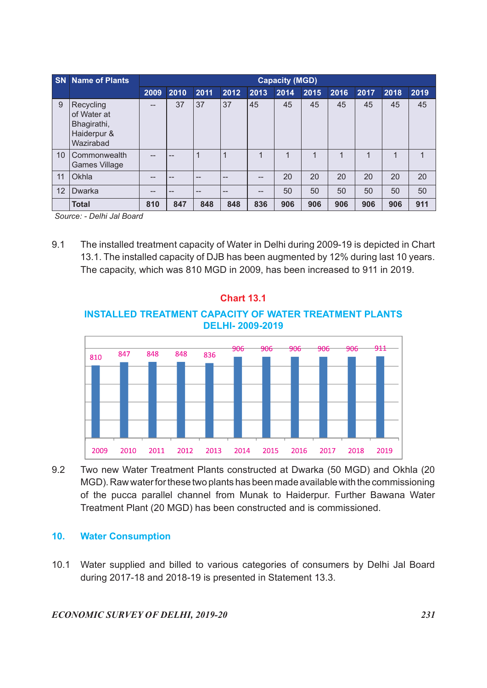| <b>SN</b> Name of Plants                                                |                                                     |                 |                |            |                                                     | <b>Capacity (MGD)</b> |              |              |              |              |              |
|-------------------------------------------------------------------------|-----------------------------------------------------|-----------------|----------------|------------|-----------------------------------------------------|-----------------------|--------------|--------------|--------------|--------------|--------------|
| 9   Recycling<br>of Water at<br>Bhagirathi,<br>Haiderpur &<br>Wazirabad | $\hspace{0.05cm} -\hspace{0.05cm} -\hspace{0.05cm}$ | 2009 2010<br>37 | 2011<br>37     | 2012<br>37 | 2013<br>45                                          | 2014<br>45            | 2015<br>45   | 2016<br>45   | 2017<br>45   | 2018<br>45   | 2019<br>45   |
| 10 Commonwealth<br>Games Village                                        | $-\!$                                               | --              | $\overline{1}$ | $\vert$ 1  | $\mathbf{1}$                                        | $\overline{1}$        | $\mathbf{1}$ | $\mathbf{1}$ | $\mathbf{1}$ | $\mathbf{1}$ | $\mathbf{1}$ |
| 11 Okhla                                                                | $\hspace{0.05cm} -\hspace{0.05cm} -\hspace{0.05cm}$ | --              | $-$            | $- -$      | $\hspace{0.05cm} -\hspace{0.05cm} -\hspace{0.05cm}$ | 20                    | 20           | 20           | 20           | 20           | 20           |
| 12   Dwarka                                                             | --                                                  | --              | <u></u>        | --         | $\hspace{0.05cm} -\hspace{0.05cm} -\hspace{0.05cm}$ | 50                    | 50           | 50           | 50           | 50           | 50           |

9.1 The installed treatment capacity of Water in Delhi during 2009-19 is depicted in Chart 13.1. The installed capacity of DJB has been augmented by 12% during last 10 years. The capacity, which was 810 MGD in 2009, has been increased to 911 in 2019.

# Chart 13.1 INSTALLED TREATMENT CAPACITY OF WATER TREATMENT PLANTS DELHI- 2009-2019



9.2 Two new Water Treatment Plants constructed at Dwarka (50 MGD) and Okhla (20 MGD). Raw water for these two plants has been made available with the commissioning of the pucca parallel channel from Munak to Haiderpur. Further Bawana Water Treatment Plant (20 MGD) has been constructed and is commissioned.

#### 10. Water Consumption

10.1 Water supplied and billed to various categories of consumers by Delhi Jal Board during 2017-18 and 2018-19 is presented in Statement 13.3.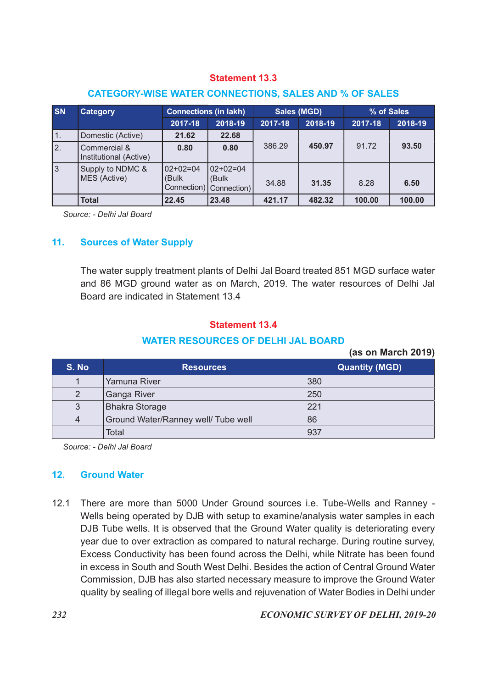#### CATEGORY-WISE WATER CONNECTIONS, SALES AND % OF SALES

|                |                                                              |                     | <b>Statement 13.3</b>                          |         |                               |         |                       |
|----------------|--------------------------------------------------------------|---------------------|------------------------------------------------|---------|-------------------------------|---------|-----------------------|
|                | <b>CATEGORY-WISE WATER CONNECTIONS, SALES AND % OF SALES</b> |                     |                                                |         |                               |         |                       |
| <b>SN</b>      | <b>Category</b>                                              |                     |                                                |         |                               |         |                       |
|                |                                                              |                     |                                                |         |                               |         |                       |
|                |                                                              | 2017-18             | <b>Connections (in lakh)</b><br>2018-19        | 2017-18 | <b>Sales (MGD)</b><br>2018-19 | 2017-18 | % of Sales<br>2018-19 |
| 1.             | Domestic (Active)                                            | 21.62               | 22.68                                          |         |                               |         |                       |
| 2.             | Commercial &<br>Institutional (Active)                       | 0.80                | 0.80                                           | 386.29  | 450.97                        | 91.72   | 93.50                 |
| $\mathfrak{S}$ | Supply to NDMC &<br>MES (Active)                             | $02+02=04$<br>(Bulk | $02+02=04$<br>(Bulk<br>Connection) Connection) | 34.88   | 31.35                         | 8.28    | 6.50                  |
|                | <b>Total</b>                                                 | 22.45               | 23.48                                          | 421.17  | 482.32                        | 100.00  | 100.00                |
|                | Source: - Delhi Jal Board                                    |                     |                                                |         |                               |         |                       |
|                |                                                              |                     |                                                |         |                               |         |                       |

#### 11. Sources of Water Supply

#### Statement 13.4

#### WATER RESOURCES OF DELHI JAL BOARD

|                | Institutional (Active)                                                                                               |                                           |                                    |        |        |                       |        |
|----------------|----------------------------------------------------------------------------------------------------------------------|-------------------------------------------|------------------------------------|--------|--------|-----------------------|--------|
| 3              | Supply to NDMC &<br>MES (Active)                                                                                     | $02+02=04$<br>(Bulk<br>Connection)        | $02+02=04$<br>(Bulk<br>Connection) | 34.88  | 31.35  | 8.28                  | 6.50   |
|                | <b>Total</b>                                                                                                         | 22.45                                     | 23.48                              | 421.17 | 482.32 | 100.00                | 100.00 |
|                | Source: - Delhi Jal Board                                                                                            |                                           |                                    |        |        |                       |        |
| 11.            | <b>Sources of Water Supply</b>                                                                                       |                                           |                                    |        |        |                       |        |
|                |                                                                                                                      |                                           |                                    |        |        |                       |        |
|                | and 86 MGD ground water as on March, 2019. The water resources of Delhi Jal<br>Board are indicated in Statement 13.4 |                                           | <b>Statement 13.4</b>              |        |        |                       |        |
|                |                                                                                                                      |                                           |                                    |        |        |                       |        |
|                |                                                                                                                      | <b>WATER RESOURCES OF DELHI JAL BOARD</b> |                                    |        |        | (as on March 2019)    |        |
| S. No          |                                                                                                                      | <b>Resources</b>                          |                                    |        |        | <b>Quantity (MGD)</b> |        |
| 1              | Yamuna River                                                                                                         |                                           |                                    |        | 380    |                       |        |
| $\overline{2}$ | Ganga River                                                                                                          |                                           |                                    |        | 250    |                       |        |
| 3              | <b>Bhakra Storage</b>                                                                                                |                                           |                                    |        | 221    |                       |        |
| $\overline{4}$ |                                                                                                                      | Ground Water/Ranney well/ Tube well       |                                    |        | 86     |                       |        |
|                | Total                                                                                                                |                                           |                                    |        | 937    |                       |        |
|                | Source: - Delhi Jal Board                                                                                            |                                           |                                    |        |        |                       |        |
| 12.            | <b>Ground Water</b>                                                                                                  |                                           |                                    |        |        |                       |        |

#### 12. Ground Water

12.1 There are more than 5000 Under Ground sources i.e. Tube-Wells and Ranney - Wells being operated by DJB with setup to examine/analysis water samples in each DJB Tube wells. It is observed that the Ground Water quality is deteriorating every year due to over extraction as compared to natural recharge. During routine survey, Excess Conductivity has been found across the Delhi, while Nitrate has been found in excess in South and South West Delhi. Besides the action of Central Ground Water Commission, DJB has also started necessary measure to improve the Ground Water quality by sealing of illegal bore wells and rejuvenation of Water Bodies in Delhi under

#### 232 ECONOMIC SURVEY OF DELHI, 2019-20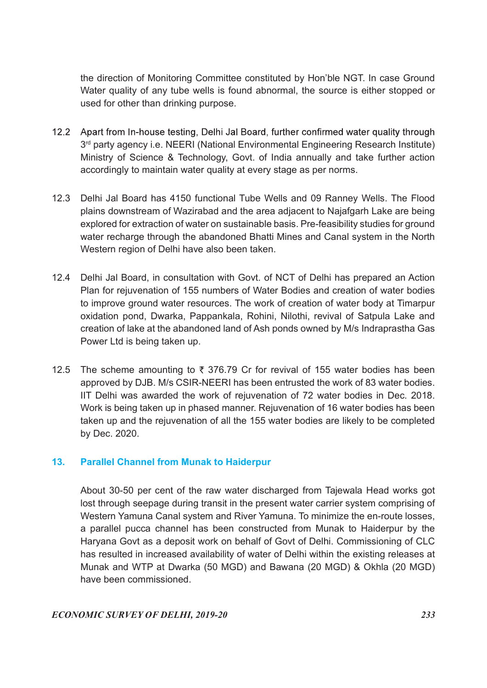the direction of Monitoring Committee constituted by Hon'ble NGT. In case Ground Water quality of any tube wells is found abnormal, the source is either stopped or used for other than drinking purpose.

- 12.2 Apart from In-house testing, Delhi Jal Board, further confirmed water quality through 3 rd party agency i.e. NEERI (National Environmental Engineering Research Institute) Ministry of Science & Technology, Govt. of India annually and take further action accordingly to maintain water quality at every stage as per norms.
- 12.3 Delhi Jal Board has 4150 functional Tube Wells and 09 Ranney Wells. The Flood plains downstream of Wazirabad and the area adjacent to Najafgarh Lake are being explored for extraction of water on sustainable basis. Pre-feasibility studies for ground water recharge through the abandoned Bhatti Mines and Canal system in the North Western region of Delhi have also been taken.
- 12.4 Delhi Jal Board, in consultation with Govt. of NCT of Delhi has prepared an Action Plan for rejuvenation of 155 numbers of Water Bodies and creation of water bodies to improve ground water resources. The work of creation of water body at Timarpur oxidation pond, Dwarka, Pappankala, Rohini, Nilothi, revival of Satpula Lake and creation of lake at the abandoned land of Ash ponds owned by M/s Indraprastha Gas Power Ltd is being taken up.
- 12.5 The scheme amounting to  $\overline{\tau}$  376.79 Cr for revival of 155 water bodies has been approved by DJB. M/s CSIR-NEERI has been entrusted the work of 83 water bodies. IIT Delhi was awarded the work of rejuvenation of 72 water bodies in Dec. 2018. Work is being taken up in phased manner. Rejuvenation of 16 water bodies has been taken up and the rejuvenation of all the 155 water bodies are likely to be completed by Dec. 2020.

# 13. Parallel Channel from Munak to Haiderpur

 About 30-50 per cent of the raw water discharged from Tajewala Head works got lost through seepage during transit in the present water carrier system comprising of Western Yamuna Canal system and River Yamuna. To minimize the en-route losses, a parallel pucca channel has been constructed from Munak to Haiderpur by the Haryana Govt as a deposit work on behalf of Govt of Delhi. Commissioning of CLC has resulted in increased availability of water of Delhi within the existing releases at Munak and WTP at Dwarka (50 MGD) and Bawana (20 MGD) & Okhla (20 MGD) have been commissioned.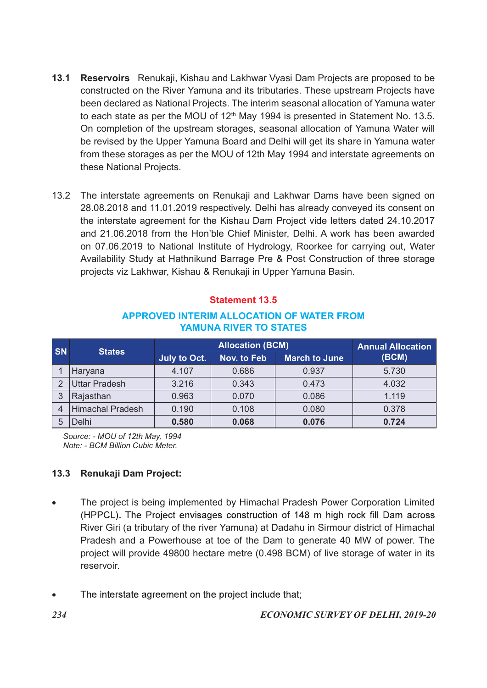- 13.1 Reservoirs Renukaji, Kishau and Lakhwar Vyasi Dam Projects are proposed to be constructed on the River Yamuna and its tributaries. These upstream Projects have been declared as National Projects. The interim seasonal allocation of Yamuna water to each state as per the MOU of 12<sup>th</sup> May 1994 is presented in Statement No. 13.5. On completion of the upstream storages, seasonal allocation of Yamuna Water will be revised by the Upper Yamuna Board and Delhi will get its share in Yamuna water from these storages as per the MOU of 12th May 1994 and interstate agreements on these National Projects.
- 13.2 The interstate agreements on Renukaji and Lakhwar Dams have been signed on 28.08.2018 and 11.01.2019 respectively. Delhi has already conveyed its consent on the interstate agreement for the Kishau Dam Project vide letters dated 24.10.2017 and 21.06.2018 from the Hon'ble Chief Minister, Delhi. A work has been awarded on 07.06.2019 to National Institute of Hydrology, Roorkee for carrying out, Water Availability Study at Hathnikund Barrage Pre & Post Construction of three storage projects viz Lakhwar, Kishau & Renukaji in Upper Yamuna Basin. be revised by the Upper Yamuna Board and Delhi will get its share in Yamuna water<br>from these sloridges as per the MOU of 12th May 1994 and interstate agreements on<br>these National Projects.<br>32 The interstate agreements on R **Example 12**<br> **Example 12**<br> **Example 12**<br> **Example 12**<br> **Example 12**<br> **Example 12**<br> **Example 12**<br> **Example 12**<br> **Example 12**<br> **Example 12**<br> **Example 12**<br> **Example 12**<br> **Example 12**<br> **Example 12**<br> **Example 12**<br> **Example 12** The interstate agreements on Renukaji and Lakhwar Dams have been signed on<br>
28.08.2018 and 11.01.2019 respectively. Delhi has already conveyed its consent on<br>
the interstate agreement for the Kishau Dam Project vide letter

## APPROVED INTERIM ALLOCATION OF WATER FROM YAMUNA RIVER TO STATES

| 13.2           |                         |              |                                                        | projects viz Lakhwar, Kishau & Renukaji in Upper Yamuna Basin. | The interstate agreements on Renukaji and Lakhwar Dams have been signed on<br>28.08.2018 and 11.01.2019 respectively. Delhi has already conveyed its consent on<br>the interstate agreement for the Kishau Dam Project vide letters dated 24.10.2017<br>and 21.06.2018 from the Hon'ble Chief Minister, Delhi. A work has been awarded<br>on 07.06.2019 to National Institute of Hydrology, Roorkee for carrying out, Water<br>Availability Study at Hathnikund Barrage Pre & Post Construction of three storage |
|----------------|-------------------------|--------------|--------------------------------------------------------|----------------------------------------------------------------|------------------------------------------------------------------------------------------------------------------------------------------------------------------------------------------------------------------------------------------------------------------------------------------------------------------------------------------------------------------------------------------------------------------------------------------------------------------------------------------------------------------|
|                |                         |              | <b>Statement 13.5</b><br><b>YAMUNA RIVER TO STATES</b> | <b>APPROVED INTERIM ALLOCATION OF WATER FROM</b>               |                                                                                                                                                                                                                                                                                                                                                                                                                                                                                                                  |
|                |                         |              | <b>Allocation (BCM)</b>                                |                                                                | <b>Annual Allocation</b>                                                                                                                                                                                                                                                                                                                                                                                                                                                                                         |
|                |                         |              |                                                        |                                                                |                                                                                                                                                                                                                                                                                                                                                                                                                                                                                                                  |
| <b>SN</b>      | <b>States</b>           | July to Oct. | <b>Nov. to Feb</b>                                     | <b>March to June</b>                                           | (BCM)                                                                                                                                                                                                                                                                                                                                                                                                                                                                                                            |
|                | Haryana                 | 4.107        | 0.686                                                  | 0.937                                                          | 5.730                                                                                                                                                                                                                                                                                                                                                                                                                                                                                                            |
| $\overline{2}$ | <b>Uttar Pradesh</b>    | 3.216        | 0.343                                                  | 0.473                                                          | 4.032                                                                                                                                                                                                                                                                                                                                                                                                                                                                                                            |
| $\mathbf{3}$   | Rajasthan               | 0.963        | 0.070                                                  | 0.086                                                          | 1.119                                                                                                                                                                                                                                                                                                                                                                                                                                                                                                            |
| $\overline{4}$ | <b>Himachal Pradesh</b> | 0.190        | 0.108                                                  | 0.080                                                          | 0.378                                                                                                                                                                                                                                                                                                                                                                                                                                                                                                            |
| 5 <sup>5</sup> | Delhi                   | 0.580        | 0.068                                                  | 0.076                                                          | 0.724                                                                                                                                                                                                                                                                                                                                                                                                                                                                                                            |

# 13.3 Renukaji Dam Project:

- The project is being implemented by Himachal Pradesh Power Corporation Limited (HPPCL). The Project envisages construction of 148 m high rock fill Dam across River Giri (a tributary of the river Yamuna) at Dadahu in Sirmour district of Himachal Pradesh and a Powerhouse at toe of the Dam to generate 40 MW of power. The project will provide 49800 hectare metre (0.498 BCM) of live storage of water in its reservoir.
- The interstate agreement on the project include that;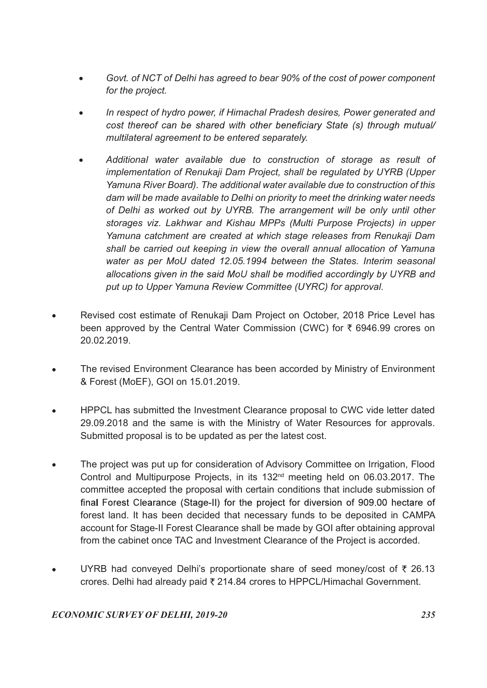- Govt. of NCT of Delhi has agreed to bear 90% of the cost of power component for the project.
- In respect of hydro power, if Himachal Pradesh desires, Power generated and cost thereof can be shared with other beneficiary State (s) through mutual/ multilateral agreement to be entered separately.
- Additional water available due to construction of storage as result of implementation of Renukaji Dam Project, shall be regulated by UYRB (Upper Yamuna River Board). The additional water available due to construction of this dam will be made available to Delhi on priority to meet the drinking water needs of Delhi as worked out by UYRB. The arrangement will be only until other storages viz. Lakhwar and Kishau MPPs (Multi Purpose Projects) in upper Yamuna catchment are created at which stage releases from Renukaji Dam shall be carried out keeping in view the overall annual allocation of Yamuna water as per MoU dated 12.05.1994 between the States. Interim seasonal allocations given in the said MoU shall be modified accordingly by UYRB and put up to Upper Yamuna Review Committee (UYRC) for approval.
- Revised cost estimate of Renukaji Dam Project on October, 2018 Price Level has been approved by the Central Water Commission (CWC) for  $\bar{\tau}$  6946.99 crores on 20.02.2019.
- The revised Environment Clearance has been accorded by Ministry of Environment & Forest (MoEF), GOI on 15.01.2019.
- HPPCL has submitted the Investment Clearance proposal to CWC vide letter dated 29.09.2018 and the same is with the Ministry of Water Resources for approvals. Submitted proposal is to be updated as per the latest cost.
- The project was put up for consideration of Advisory Committee on Irrigation, Flood Control and Multipurpose Projects, in its 132nd meeting held on 06.03.2017. The committee accepted the proposal with certain conditions that include submission of final Forest Clearance (Stage-II) for the project for diversion of 909.00 hectare of forest land. It has been decided that necessary funds to be deposited in CAMPA account for Stage-II Forest Clearance shall be made by GOI after obtaining approval from the cabinet once TAC and Investment Clearance of the Project is accorded.
- UYRB had conveved Delhi's proportionate share of seed money/cost of  $\bar{\tau}$  26.13 crores. Delhi had already paid  $\overline{\tau}$  214.84 crores to HPPCL/Himachal Government.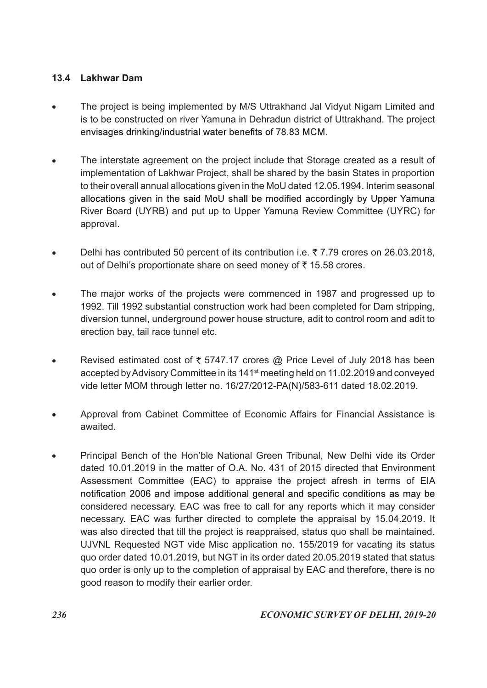# 13.4 Lakhwar Dam

- The project is being implemented by M/S Uttrakhand Jal Vidyut Nigam Limited and  $\bullet$ is to be constructed on river Yamuna in Dehradun district of Uttrakhand. The project envisages drinking/industrial water benefits of 78.83 MCM.
- The interstate agreement on the project include that Storage created as a result of implementation of Lakhwar Project, shall be shared by the basin States in proportion to their overall annual allocations given in the MoU dated 12.05.1994. Interim seasonal allocations given in the said MoU shall be modified accordingly by Upper Yamuna River Board (UYRB) and put up to Upper Yamuna Review Committee (UYRC) for approval.
- Delhi has contributed 50 percent of its contribution i.e.  $\bar{\tau}$  7.79 crores on 26.03.2018,  $\bullet$ out of Delhi's proportionate share on seed money of  $\bar{\tau}$  15.58 crores.
- The major works of the projects were commenced in 1987 and progressed up to 1992. Till 1992 substantial construction work had been completed for Dam stripping, diversion tunnel, underground power house structure, adit to control room and adit to erection bay, tail race tunnel etc.
- Revised estimated cost of  $\overline{\xi}$  5747.17 crores @ Price Level of July 2018 has been accepted by Advisory Committee in its 141st meeting held on 11.02.2019 and conveyed vide letter MOM through letter no. 16/27/2012-PA(N)/583-611 dated 18.02.2019.
- Approval from Cabinet Committee of Economic Affairs for Financial Assistance is awaited.
- Principal Bench of the Hon'ble National Green Tribunal, New Delhi vide its Order dated 10.01.2019 in the matter of O.A. No. 431 of 2015 directed that Environment Assessment Committee (EAC) to appraise the project afresh in terms of EIA notification 2006 and impose additional general and specific conditions as may be considered necessary. EAC was free to call for any reports which it may consider necessary. EAC was further directed to complete the appraisal by 15.04.2019. It was also directed that till the project is reappraised, status quo shall be maintained. UJVNL Requested NGT vide Misc application no. 155/2019 for vacating its status quo order dated 10.01.2019, but NGT in its order dated 20.05.2019 stated that status quo order is only up to the completion of appraisal by EAC and therefore, there is no good reason to modify their earlier order.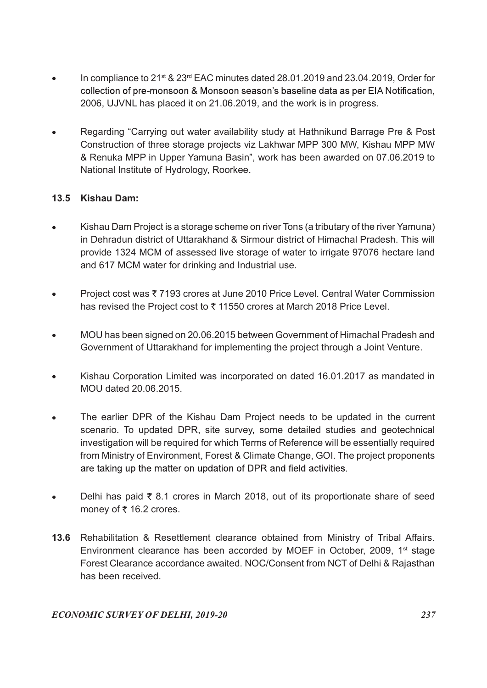- In compliance to 21st & 23rd EAC minutes dated 28.01.2019 and 23.04.2019, Order for collection of pre-monsoon & Monsoon season's baseline data as per EIA Notification, 2006, UJVNL has placed it on 21.06.2019, and the work is in progress.
- Regarding "Carrying out water availability study at Hathnikund Barrage Pre & Post Construction of three storage projects viz Lakhwar MPP 300 MW, Kishau MPP MW & Renuka MPP in Upper Yamuna Basin", work has been awarded on 07.06.2019 to National Institute of Hydrology, Roorkee.

# 13.5 Kishau Dam:

- Kishau Dam Project is a storage scheme on river Tons (a tributary of the river Yamuna) in Dehradun district of Uttarakhand & Sirmour district of Himachal Pradesh. This will provide 1324 MCM of assessed live storage of water to irrigate 97076 hectare land and 617 MCM water for drinking and Industrial use.
- Project cost was 7193 crores at June 2010 Price Level. Central Water Commission  $\bullet$ has revised the Project cost to ₹11550 crores at March 2018 Price Level.
- MOU has been signed on 20.06.2015 between Government of Himachal Pradesh and Government of Uttarakhand for implementing the project through a Joint Venture.
- Kishau Corporation Limited was incorporated on dated 16.01.2017 as mandated in MOU dated 20.06.2015.
- The earlier DPR of the Kishau Dam Project needs to be updated in the current scenario. To updated DPR, site survey, some detailed studies and geotechnical investigation will be required for which Terms of Reference will be essentially required from Ministry of Environment, Forest & Climate Change, GOI. The project proponents are taking up the matter on updation of DPR and field activities.
- Delhi has paid  $\overline{\xi}$  8.1 crores in March 2018, out of its proportionate share of seed  $\bullet$ money of  $\bar{\tau}$  16.2 crores.
- 13.6 Rehabilitation & Resettlement clearance obtained from Ministry of Tribal Affairs. Environment clearance has been accorded by MOEF in October, 2009, 1<sup>st</sup> stage Forest Clearance accordance awaited. NOC/Consent from NCT of Delhi & Rajasthan has been received.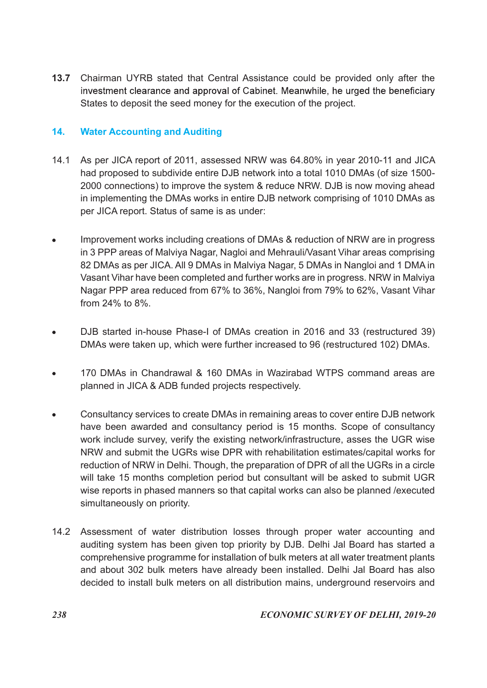13.7 Chairman UYRB stated that Central Assistance could be provided only after the investment clearance and approval of Cabinet. Meanwhile, he urged the beneficiary States to deposit the seed money for the execution of the project.

# 14. Water Accounting and Auditing

- 14.1 As per JICA report of 2011, assessed NRW was 64.80% in year 2010-11 and JICA had proposed to subdivide entire DJB network into a total 1010 DMAs (of size 1500- 2000 connections) to improve the system & reduce NRW. DJB is now moving ahead in implementing the DMAs works in entire DJB network comprising of 1010 DMAs as per JICA report. Status of same is as under:
- Improvement works including creations of DMAs & reduction of NRW are in progress  $\blacksquare$ in 3 PPP areas of Malviya Nagar, Nagloi and Mehrauli/Vasant Vihar areas comprising 82 DMAs as per JICA. All 9 DMAs in Malviya Nagar, 5 DMAs in Nangloi and 1 DMA in Vasant Vihar have been completed and further works are in progress. NRW in Malviya Nagar PPP area reduced from 67% to 36%, Nangloi from 79% to 62%, Vasant Vihar from 24% to 8%.
- DJB started in-house Phase-I of DMAs creation in 2016 and 33 (restructured 39) DMAs were taken up, which were further increased to 96 (restructured 102) DMAs.
- 170 DMAs in Chandrawal & 160 DMAs in Wazirabad WTPS command areas are planned in JICA & ADB funded projects respectively.
- Consultancy services to create DMAs in remaining areas to cover entire DJB network have been awarded and consultancy period is 15 months. Scope of consultancy work include survey, verify the existing network/infrastructure, asses the UGR wise NRW and submit the UGRs wise DPR with rehabilitation estimates/capital works for reduction of NRW in Delhi. Though, the preparation of DPR of all the UGRs in a circle will take 15 months completion period but consultant will be asked to submit UGR wise reports in phased manners so that capital works can also be planned /executed simultaneously on priority.
- 14.2 Assessment of water distribution losses through proper water accounting and auditing system has been given top priority by DJB. Delhi Jal Board has started a comprehensive programme for installation of bulk meters at all water treatment plants and about 302 bulk meters have already been installed. Delhi Jal Board has also decided to install bulk meters on all distribution mains, underground reservoirs and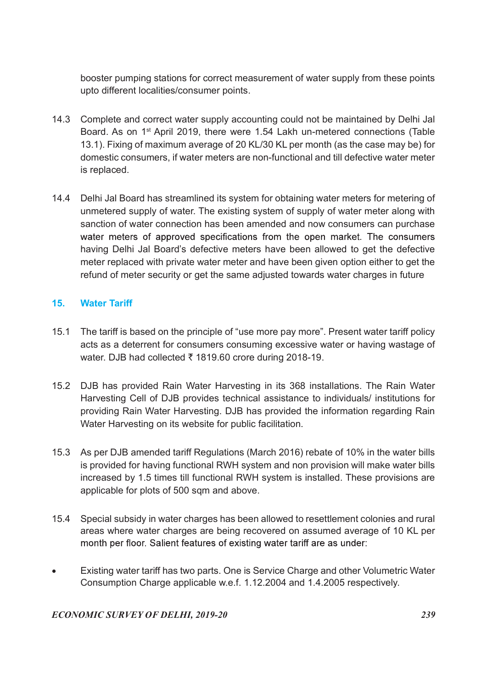booster pumping stations for correct measurement of water supply from these points upto different localities/consumer points.

- 14.3 Complete and correct water supply accounting could not be maintained by Delhi Jal Board. As on 1st April 2019, there were 1.54 Lakh un-metered connections (Table 13.1). Fixing of maximum average of 20 KL/30 KL per month (as the case may be) for domestic consumers, if water meters are non-functional and till defective water meter is replaced.
- 14.4 Delhi Jal Board has streamlined its system for obtaining water meters for metering of unmetered supply of water. The existing system of supply of water meter along with sanction of water connection has been amended and now consumers can purchase water meters of approved specifications from the open market. The consumers having Delhi Jal Board's defective meters have been allowed to get the defective meter replaced with private water meter and have been given option either to get the refund of meter security or get the same adjusted towards water charges in future

# 15. Water Tariff

- 15.1 The tariff is based on the principle of "use more pay more". Present water tariff policy acts as a deterrent for consumers consuming excessive water or having wastage of water. DJB had collected  $\overline{\tau}$  1819.60 crore during 2018-19.
- 15.2 DJB has provided Rain Water Harvesting in its 368 installations. The Rain Water Harvesting Cell of DJB provides technical assistance to individuals/ institutions for providing Rain Water Harvesting. DJB has provided the information regarding Rain Water Harvesting on its website for public facilitation.
- 15.3 As per DJB amended tariff Regulations (March 2016) rebate of 10% in the water bills is provided for having functional RWH system and non provision will make water bills increased by 1.5 times till functional RWH system is installed. These provisions are applicable for plots of 500 sqm and above.
- 15.4 Special subsidy in water charges has been allowed to resettlement colonies and rural areas where water charges are being recovered on assumed average of 10 KL per month per floor. Salient features of existing water tariff are as under:
- Existing water tariff has two parts. One is Service Charge and other Volumetric Water Consumption Charge applicable w.e.f. 1.12.2004 and 1.4.2005 respectively.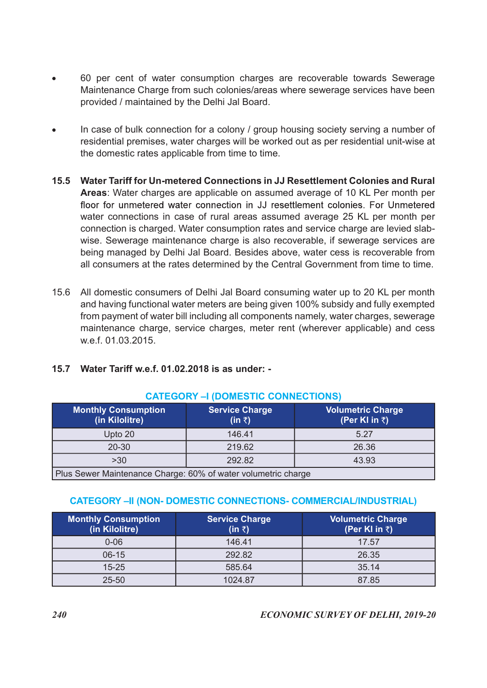- 60 per cent of water consumption charges are recoverable towards Sewerage Maintenance Charge from such colonies/areas where sewerage services have been provided / maintained by the Delhi Jal Board.
- In case of bulk connection for a colony / group housing society serving a number of residential premises, water charges will be worked out as per residential unit-wise at the domestic rates applicable from time to time.
- 15.5 Water Tariff for Un-metered Connections in JJ Resettlement Colonies and Rural Areas: Water charges are applicable on assumed average of 10 KL Per month per floor for unmetered water connection in JJ resettlement colonies. For Unmetered water connections in case of rural areas assumed average 25 KL per month per connection is charged. Water consumption rates and service charge are levied slabwise. Sewerage maintenance charge is also recoverable, if sewerage services are being managed by Delhi Jal Board. Besides above, water cess is recoverable from all consumers at the rates determined by the Central Government from time to time.
- 15.6 All domestic consumers of Delhi Jal Board consuming water up to 20 KL per month and having functional water meters are being given 100% subsidy and fully exempted from payment of water bill including all components namely, water charges, sewerage maintenance charge, service charges, meter rent (wherever applicable) and cess w.e.f. 01.03.2015.

# 15.7 Water Tariff w.e.f. 01.02.2018 is as under: -

|              |                                                                        |                                                               | connection is charged. Water consumption rates and service charge are levied slab-<br>wise. Sewerage maintenance charge is also recoverable, if sewerage services are<br>being managed by Delhi Jal Board. Besides above, water cess is recoverable from<br>all consumers at the rates determined by the Central Government from time to time. |  |
|--------------|------------------------------------------------------------------------|---------------------------------------------------------------|------------------------------------------------------------------------------------------------------------------------------------------------------------------------------------------------------------------------------------------------------------------------------------------------------------------------------------------------|--|
| 15.6<br>15.7 | w.e.f. 01.03.2015.<br>Water Tariff w.e.f. 01.02.2018 is as under: -    | <b>CATEGORY –I (DOMESTIC CONNECTIONS)</b>                     | All domestic consumers of Delhi Jal Board consuming water up to 20 KL per month<br>and having functional water meters are being given 100% subsidy and fully exempted<br>from payment of water bill including all components namely, water charges, sewerage<br>maintenance charge, service charges, meter rent (wherever applicable) and cess |  |
|              | <b>Monthly Consumption</b><br>(in Kilolitre)                           | <b>Service Charge</b><br>(in ₹)                               | <b>Volumetric Charge</b><br>(Per KI in ₹)                                                                                                                                                                                                                                                                                                      |  |
|              | Upto 20                                                                | 146.41                                                        | 5.27                                                                                                                                                                                                                                                                                                                                           |  |
|              | $20 - 30$                                                              | 219.62                                                        | 26.36                                                                                                                                                                                                                                                                                                                                          |  |
|              | $>30$                                                                  | 292.82                                                        | 43.93                                                                                                                                                                                                                                                                                                                                          |  |
|              |                                                                        | Plus Sewer Maintenance Charge: 60% of water volumetric charge |                                                                                                                                                                                                                                                                                                                                                |  |
|              | <b>CATEGORY –II (NON- DOMESTIC CONNECTIONS- COMMERCIAL/INDUSTRIAL)</b> |                                                               |                                                                                                                                                                                                                                                                                                                                                |  |

#### CATEGORY –I (DOMESTIC CONNECTIONS)

#### CATEGORY –II (NON- DOMESTIC CONNECTIONS- COMMERCIAL/INDUSTRIAL)

|                                                               | <b>CATEGORY –I (DOMESTIC CONNECTIONS)</b> |                                                                                                                              |
|---------------------------------------------------------------|-------------------------------------------|------------------------------------------------------------------------------------------------------------------------------|
| <b>Monthly Consumption</b><br>(in Kilolitre)                  | <b>Service Charge</b><br>(in ₹)           | <b>Volumetric Charge</b><br>(Per KI in ₹)                                                                                    |
| Upto 20                                                       | 146.41                                    | 5.27                                                                                                                         |
| $20 - 30$                                                     | 219.62                                    | 26.36                                                                                                                        |
| $>30$                                                         | 292.82                                    | 43.93                                                                                                                        |
|                                                               |                                           |                                                                                                                              |
| Plus Sewer Maintenance Charge: 60% of water volumetric charge |                                           |                                                                                                                              |
| <b>Monthly Consumption</b>                                    | <b>Service Charge</b><br>(in ₹)           | <b>CATEGORY –II (NON- DOMESTIC CONNECTIONS- COMMERCIAL/INDUSTRIAL)</b><br><b>Volumetric Charge</b><br>(Per KI in $\bar{z}$ ) |
| (in Kilolitre)<br>$0 - 06$                                    | 146.41                                    | 17.57                                                                                                                        |
| $06-15$                                                       | 292.82                                    | 26.35                                                                                                                        |
| $15 - 25$                                                     | 585.64                                    | 35.14                                                                                                                        |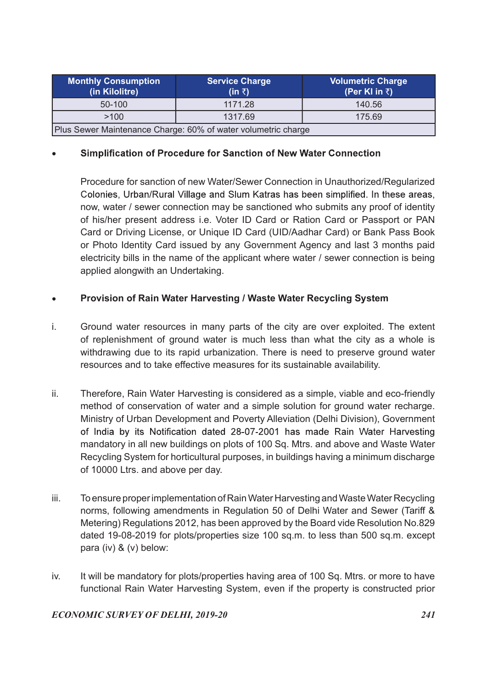| <b>Monthly Consumption</b><br>(in Kilolitre) | <b>Service Charge</b><br>$(in \bar{z})$ | <b>Volumetric Charge</b><br>(Per KI in ₹) |  |
|----------------------------------------------|-----------------------------------------|-------------------------------------------|--|
| 50-100                                       | 1171.28                                 | 140.56                                    |  |
| >100                                         | 1317.69                                 | 175.69                                    |  |

 Procedure for sanction of new Water/Sewer Connection in Unauthorized/Regularized Colonies. Urban/Rural Village and Slum Katras has been simplified. In these areas. now, water / sewer connection may be sanctioned who submits any proof of identity of his/her present address i.e. Voter ID Card or Ration Card or Passport or PAN Card or Driving License, or Unique ID Card (UID/Aadhar Card) or Bank Pass Book or Photo Identity Card issued by any Government Agency and last 3 months paid electricity bills in the name of the applicant where water / sewer connection is being applied alongwith an Undertaking.

## Provision of Rain Water Harvesting / Waste Water Recycling System

- i. Ground water resources in many parts of the city are over exploited. The extent of replenishment of ground water is much less than what the city as a whole is withdrawing due to its rapid urbanization. There is need to preserve ground water resources and to take effective measures for its sustainable availability.
- ii. Therefore, Rain Water Harvesting is considered as a simple, viable and eco-friendly method of conservation of water and a simple solution for ground water recharge. Ministry of Urban Development and Poverty Alleviation (Delhi Division), Government of India by its Notification dated 28-07-2001 has made Rain Water Harvesting mandatory in all new buildings on plots of 100 Sq. Mtrs. and above and Waste Water Recycling System for horticultural purposes, in buildings having a minimum discharge of 10000 Ltrs. and above per day.
- iii. To ensure proper implementation of Rain Water Harvesting and Waste Water Recycling norms, following amendments in Regulation 50 of Delhi Water and Sewer (Tariff & Metering) Regulations 2012, has been approved by the Board vide Resolution No.829 dated 19-08-2019 for plots/properties size 100 sq.m. to less than 500 sq.m. except para (iv) & (v) below:
- iv. It will be mandatory for plots/properties having area of 100 Sq. Mtrs. or more to have functional Rain Water Harvesting System, even if the property is constructed prior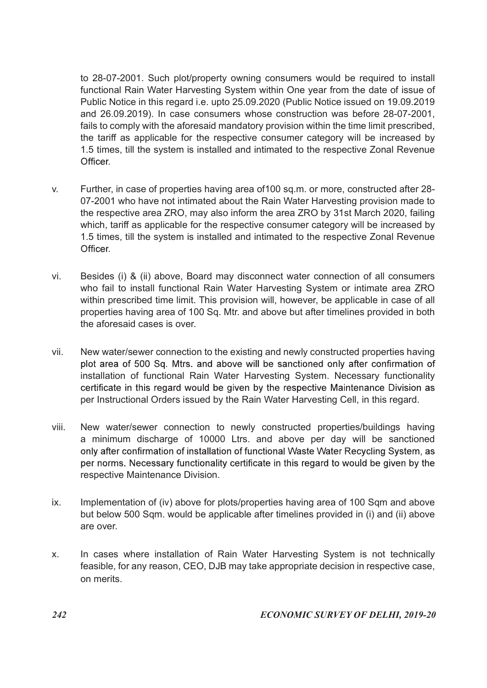to 28-07-2001. Such plot/property owning consumers would be required to install functional Rain Water Harvesting System within One year from the date of issue of Public Notice in this regard i.e. upto 25.09.2020 (Public Notice issued on 19.09.2019 and 26.09.2019). In case consumers whose construction was before 28-07-2001, fails to comply with the aforesaid mandatory provision within the time limit prescribed, the tariff as applicable for the respective consumer category will be increased by 1.5 times, till the system is installed and intimated to the respective Zonal Revenue Officer

- v. Further, in case of properties having area of100 sq.m. or more, constructed after 28- 07-2001 who have not intimated about the Rain Water Harvesting provision made to the respective area ZRO, may also inform the area ZRO by 31st March 2020, failing which, tariff as applicable for the respective consumer category will be increased by 1.5 times, till the system is installed and intimated to the respective Zonal Revenue Officer
- vi. Besides (i) & (ii) above, Board may disconnect water connection of all consumers who fail to install functional Rain Water Harvesting System or intimate area ZRO within prescribed time limit. This provision will, however, be applicable in case of all properties having area of 100 Sq. Mtr. and above but after timelines provided in both the aforesaid cases is over.
- vii. New water/sewer connection to the existing and newly constructed properties having plot area of 500 Sq. Mtrs, and above will be sanctioned only after confirmation of installation of functional Rain Water Harvesting System. Necessary functionality certificate in this regard would be given by the respective Maintenance Division as per Instructional Orders issued by the Rain Water Harvesting Cell, in this regard.
- viii. New water/sewer connection to newly constructed properties/buildings having a minimum discharge of 10000 Ltrs. and above per day will be sanctioned only after confirmation of installation of functional Waste Water Recycling System, as per norms. Necessary functionality certificate in this regard to would be given by the respective Maintenance Division.
- ix. Implementation of (iv) above for plots/properties having area of 100 Sqm and above but below 500 Sqm. would be applicable after timelines provided in (i) and (ii) above are over.
- x. In cases where installation of Rain Water Harvesting System is not technically feasible, for any reason, CEO, DJB may take appropriate decision in respective case, on merits.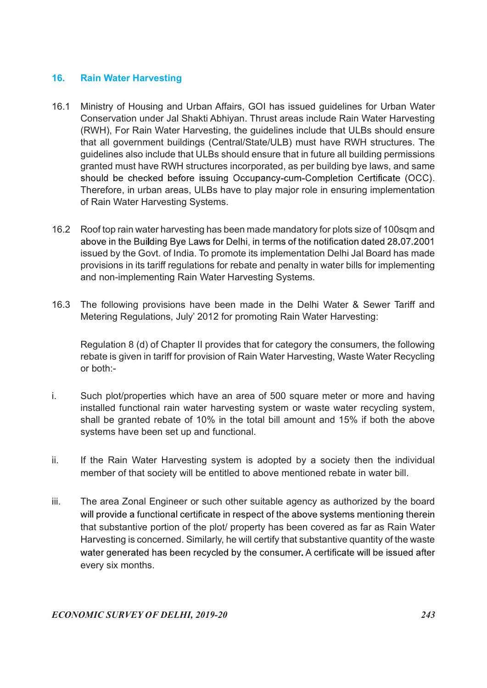#### 16. Rain Water Harvesting

- 16.1 Ministry of Housing and Urban Affairs, GOI has issued guidelines for Urban Water Conservation under Jal Shakti Abhiyan. Thrust areas include Rain Water Harvesting (RWH), For Rain Water Harvesting, the guidelines include that ULBs should ensure that all government buildings (Central/State/ULB) must have RWH structures. The guidelines also include that ULBs should ensure that in future all building permissions granted must have RWH structures incorporated, as per building bye laws, and same should be checked before issuing Occupancy-cum-Completion Certificate (OCC). Therefore, in urban areas, ULBs have to play major role in ensuring implementation of Rain Water Harvesting Systems.
- 16.2 Roof top rain water harvesting has been made mandatory for plots size of 100sqm and above in the Building Bye Laws for Delhi, in terms of the notification dated 28.07.2001 issued by the Govt. of India. To promote its implementation Delhi Jal Board has made provisions in its tariff regulations for rebate and penalty in water bills for implementing and non-implementing Rain Water Harvesting Systems.
- 16.3 The following provisions have been made in the Delhi Water & Sewer Tariff and Metering Regulations, July' 2012 for promoting Rain Water Harvesting:

 Regulation 8 (d) of Chapter II provides that for category the consumers, the following rebate is given in tariff for provision of Rain Water Harvesting, Waste Water Recycling or both:-

- i. Such plot/properties which have an area of 500 square meter or more and having installed functional rain water harvesting system or waste water recycling system, shall be granted rebate of 10% in the total bill amount and 15% if both the above systems have been set up and functional.
- ii. If the Rain Water Harvesting system is adopted by a society then the individual member of that society will be entitled to above mentioned rebate in water bill.
- iii. The area Zonal Engineer or such other suitable agency as authorized by the board will provide a functional certificate in respect of the above systems mentioning therein that substantive portion of the plot/ property has been covered as far as Rain Water Harvesting is concerned. Similarly, he will certify that substantive quantity of the waste water generated has been recycled by the consumer. A certificate will be issued after every six months.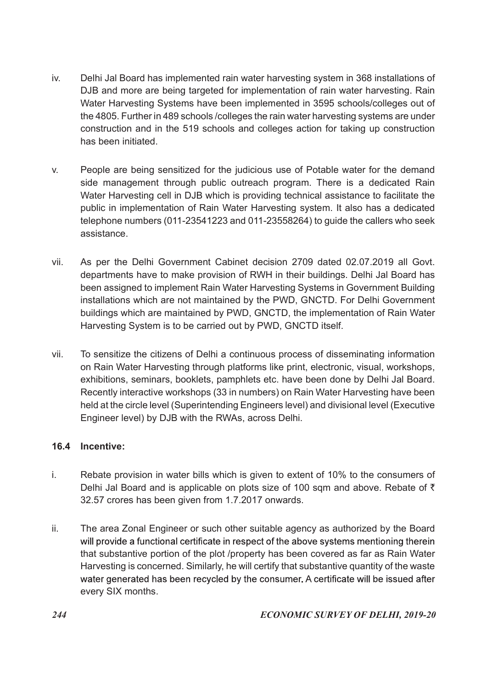- iv. Delhi Jal Board has implemented rain water harvesting system in 368 installations of DJB and more are being targeted for implementation of rain water harvesting. Rain Water Harvesting Systems have been implemented in 3595 schools/colleges out of the 4805. Further in 489 schools /colleges the rain water harvesting systems are under construction and in the 519 schools and colleges action for taking up construction has been initiated.
- v. People are being sensitized for the judicious use of Potable water for the demand side management through public outreach program. There is a dedicated Rain Water Harvesting cell in DJB which is providing technical assistance to facilitate the public in implementation of Rain Water Harvesting system. It also has a dedicated telephone numbers (011-23541223 and 011-23558264) to guide the callers who seek assistance.
- vii. As per the Delhi Government Cabinet decision 2709 dated 02.07.2019 all Govt. departments have to make provision of RWH in their buildings. Delhi Jal Board has been assigned to implement Rain Water Harvesting Systems in Government Building installations which are not maintained by the PWD, GNCTD. For Delhi Government buildings which are maintained by PWD, GNCTD, the implementation of Rain Water Harvesting System is to be carried out by PWD, GNCTD itself.
- vii. To sensitize the citizens of Delhi a continuous process of disseminating information on Rain Water Harvesting through platforms like print, electronic, visual, workshops, exhibitions, seminars, booklets, pamphlets etc. have been done by Delhi Jal Board. Recently interactive workshops (33 in numbers) on Rain Water Harvesting have been held at the circle level (Superintending Engineers level) and divisional level (Executive Engineer level) by DJB with the RWAs, across Delhi.

# 16.4 Incentive:

- i. Rebate provision in water bills which is given to extent of 10% to the consumers of Delhi Jal Board and is applicable on plots size of 100 sqm and above. Rebate of  $\bar{\tau}$ 32.57 crores has been given from 1.7.2017 onwards.
- ii. The area Zonal Engineer or such other suitable agency as authorized by the Board will provide a functional certificate in respect of the above systems mentioning therein that substantive portion of the plot /property has been covered as far as Rain Water Harvesting is concerned. Similarly, he will certify that substantive quantity of the waste water generated has been recycled by the consumer. A certificate will be issued after every SIX months.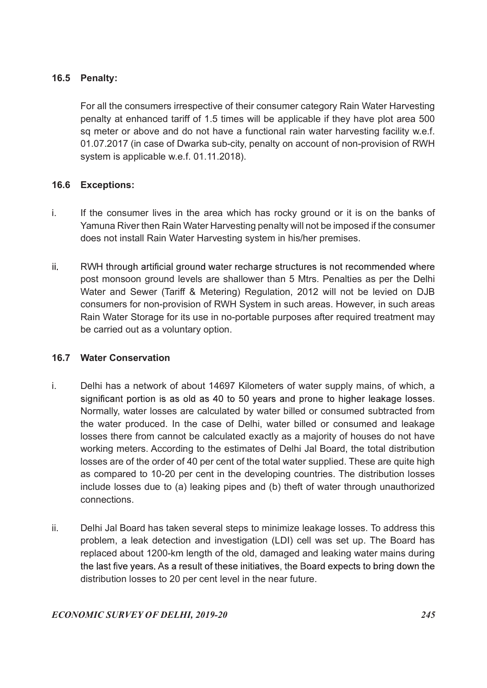# 16.5 Penalty:

 For all the consumers irrespective of their consumer category Rain Water Harvesting penalty at enhanced tariff of 1.5 times will be applicable if they have plot area 500 sq meter or above and do not have a functional rain water harvesting facility w.e.f. 01.07.2017 (in case of Dwarka sub-city, penalty on account of non-provision of RWH system is applicable w.e.f. 01.11.2018).

# 16.6 Exceptions:

- i. If the consumer lives in the area which has rocky ground or it is on the banks of Yamuna River then Rain Water Harvesting penalty will not be imposed if the consumer does not install Rain Water Harvesting system in his/her premises.
- ii. RWH through artificial ground water recharge structures is not recommended where post monsoon ground levels are shallower than 5 Mtrs. Penalties as per the Delhi Water and Sewer (Tariff & Metering) Regulation, 2012 will not be levied on DJB consumers for non-provision of RWH System in such areas. However, in such areas Rain Water Storage for its use in no-portable purposes after required treatment may be carried out as a voluntary option.

# 16.7 Water Conservation

- i. Delhi has a network of about 14697 Kilometers of water supply mains, of which, a significant portion is as old as 40 to 50 years and prone to higher leakage losses. Normally, water losses are calculated by water billed or consumed subtracted from the water produced. In the case of Delhi, water billed or consumed and leakage losses there from cannot be calculated exactly as a majority of houses do not have working meters. According to the estimates of Delhi Jal Board, the total distribution losses are of the order of 40 per cent of the total water supplied. These are quite high as compared to 10-20 per cent in the developing countries. The distribution losses include losses due to (a) leaking pipes and (b) theft of water through unauthorized connections.
- ii. Delhi Jal Board has taken several steps to minimize leakage losses. To address this problem, a leak detection and investigation (LDI) cell was set up. The Board has replaced about 1200-km length of the old, damaged and leaking water mains during the last five years. As a result of these initiatives, the Board expects to bring down the distribution losses to 20 per cent level in the near future.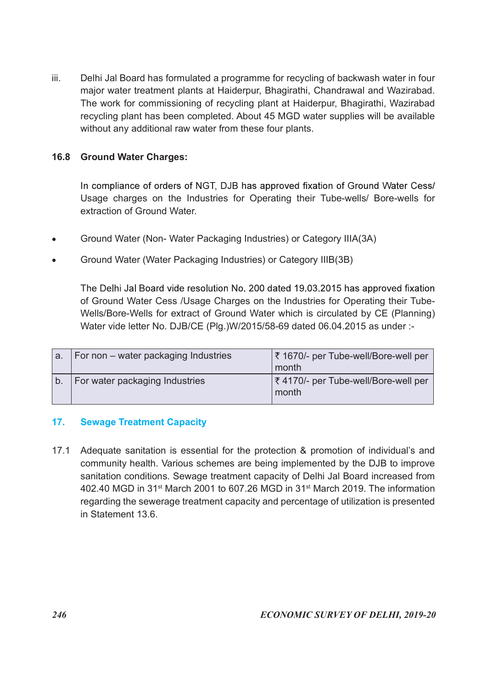iii. Delhi Jal Board has formulated a programme for recycling of backwash water in four major water treatment plants at Haiderpur, Bhagirathi, Chandrawal and Wazirabad. The work for commissioning of recycling plant at Haiderpur, Bhagirathi, Wazirabad recycling plant has been completed. About 45 MGD water supplies will be available without any additional raw water from these four plants.

## 16.8 Ground Water Charges:

- Ground Water (Non- Water Packaging Industries) or Category IIIA(3A)
- Ground Water (Water Packaging Industries) or Category IIIB(3B)

| 16.8                   | <b>Ground Water Charges:</b>                                                                                                                                                                                                                                                                                                               |                                               |
|------------------------|--------------------------------------------------------------------------------------------------------------------------------------------------------------------------------------------------------------------------------------------------------------------------------------------------------------------------------------------|-----------------------------------------------|
|                        | In compliance of orders of NGT, DJB has approved fixation of Ground Water Cess/<br>Usage charges on the Industries for Operating their Tube-wells/ Bore-wells for<br>extraction of Ground Water.                                                                                                                                           |                                               |
| $\bullet$<br>$\bullet$ | Ground Water (Non-Water Packaging Industries) or Category IIIA(3A)<br>Ground Water (Water Packaging Industries) or Category IIIB(3B)                                                                                                                                                                                                       |                                               |
|                        | The Delhi Jal Board vide resolution No. 200 dated 19.03.2015 has approved fixation<br>of Ground Water Cess /Usage Charges on the Industries for Operating their Tube-<br>Wells/Bore-Wells for extract of Ground Water which is circulated by CE (Planning)<br>Water vide letter No. DJB/CE (Plg.)W/2015/58-69 dated 06.04.2015 as under :- |                                               |
| a.                     | For non – water packaging Industries                                                                                                                                                                                                                                                                                                       | ₹ 1670/- per Tube-well/Bore-well per<br>month |
| b.                     | For water packaging Industries                                                                                                                                                                                                                                                                                                             | ₹4170/- per Tube-well/Bore-well per<br>month  |

# 17. Sewage Treatment Capacity

17.1 Adequate sanitation is essential for the protection & promotion of individual's and community health. Various schemes are being implemented by the DJB to improve sanitation conditions. Sewage treatment capacity of Delhi Jal Board increased from 402.40 MGD in 31st March 2001 to 607.26 MGD in 31st March 2019. The information regarding the sewerage treatment capacity and percentage of utilization is presented in Statement 13.6.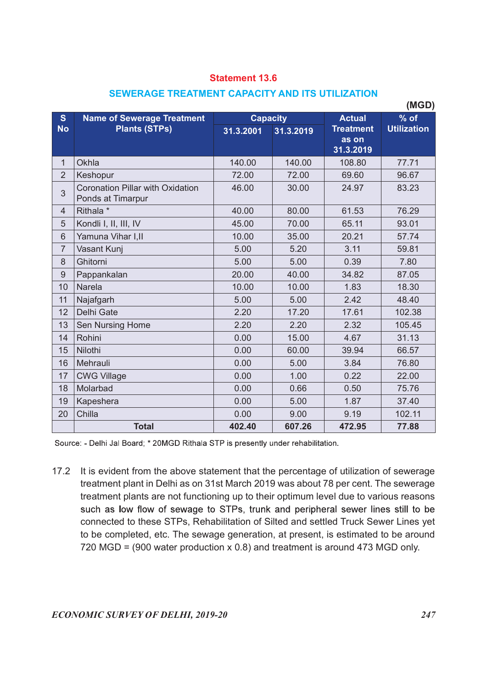# SEWERAGE TREATMENT CAPACITY AND ITS UTILIZATION

|                 |                                                       | <b>Statement 13.6</b> |                 |                                        |                    |
|-----------------|-------------------------------------------------------|-----------------------|-----------------|----------------------------------------|--------------------|
|                 | SEWERAGE TREATMENT CAPACITY AND ITS UTILIZATION       |                       |                 |                                        |                    |
| S               | <b>Name of Sewerage Treatment</b>                     |                       | <b>Capacity</b> | <b>Actual</b>                          | (MGD)<br>$%$ of    |
| <b>No</b>       | <b>Plants (STPs)</b>                                  | 31.3.2001             | 31.3.2019       | <b>Treatment</b><br>as on<br>31.3.2019 | <b>Utilization</b> |
| $\mathbf{1}$    | Okhla                                                 | 140.00                | 140.00          | 108.80                                 | 77.71              |
| $\overline{2}$  | Keshopur                                              | 72.00                 | 72.00           | 69.60                                  | 96.67              |
| $\mathbf{3}$    | Coronation Pillar with Oxidation<br>Ponds at Timarpur | 46.00                 | 30.00           | 24.97                                  | 83.23              |
| $\overline{4}$  | Rithala <sup>*</sup>                                  | 40.00                 | 80.00           | 61.53                                  | 76.29              |
| 5               | Kondli I, II, III, IV                                 | 45.00                 | 70.00           | 65.11                                  | 93.01              |
| 6               | Yamuna Vihar I, II                                    | 10.00                 | 35.00           | 20.21                                  | 57.74              |
| $\overline{7}$  | Vasant Kunj                                           | 5.00                  | 5.20            | 3.11                                   | 59.81              |
| 8               | Ghitorni                                              | 5.00                  | 5.00            | 0.39                                   | 7.80               |
| 9               | Pappankalan                                           | 20.00                 | 40.00           | 34.82                                  | 87.05              |
| 10 <sup>°</sup> | Narela                                                | 10.00                 | 10.00           | 1.83                                   | 18.30              |
| 11              | Najafgarh                                             | 5.00                  | 5.00            | 2.42                                   | 48.40              |
| 12              | Delhi Gate                                            | 2.20                  | 17.20           | 17.61                                  | 102.38             |
| 13              | Sen Nursing Home                                      | 2.20                  | 2.20            | 2.32                                   | 105.45             |
| 14              | Rohini                                                | 0.00                  | 15.00           | 4.67                                   | 31.13              |
| 15              | Nilothi                                               | 0.00                  | 60.00           | 39.94                                  | 66.57              |
| 16              | Mehrauli                                              | 0.00                  | 5.00            | 3.84                                   | 76.80              |
| 17              | <b>CWG Village</b>                                    | 0.00                  | 1.00            | 0.22                                   | 22.00              |
| 18              | Molarbad                                              | 0.00                  | 0.66            | 0.50                                   | 75.76              |
| 19              | Kapeshera                                             | 0.00                  | 5.00            | 1.87                                   | 37.40              |
| 20              | Chilla                                                | 0.00                  | 9.00            | 9.19                                   | 102.11             |
|                 | <b>Total</b>                                          | 402.40                | 607.26          | 472.95                                 | 77.88              |

17.2 It is evident from the above statement that the percentage of utilization of sewerage treatment plant in Delhi as on 31st March 2019 was about 78 per cent. The sewerage treatment plants are not functioning up to their optimum level due to various reasons such as low flow of sewage to STPs, trunk and peripheral sewer lines still to be connected to these STPs, Rehabilitation of Silted and settled Truck Sewer Lines yet to be completed, etc. The sewage generation, at present, is estimated to be around 720 MGD = (900 water production x 0.8) and treatment is around 473 MGD only.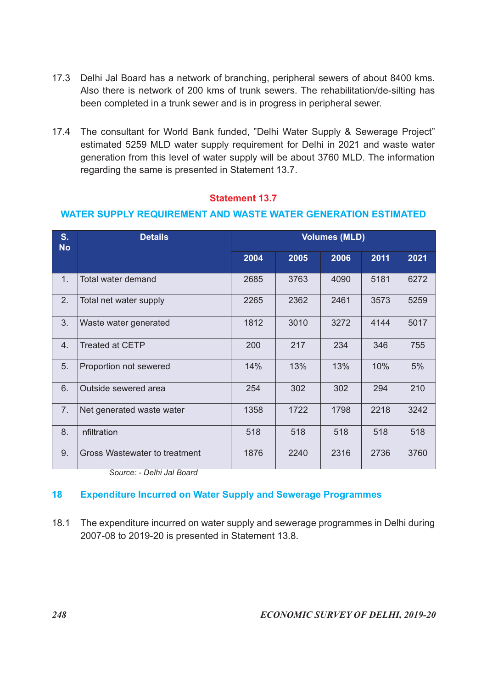- 17.3 Delhi Jal Board has a network of branching, peripheral sewers of about 8400 kms. Also there is network of 200 kms of trunk sewers. The rehabilitation/de-silting has been completed in a trunk sewer and is in progress in peripheral sewer.
- 17.4 The consultant for World Bank funded, "Delhi Water Supply & Sewerage Project" estimated 5259 MLD water supply requirement for Delhi in 2021 and waste water generation from this level of water supply will be about 3760 MLD. The information regarding the same is presented in Statement 13.7.

| 17.3                        | Delhi Jal Board has a network of branching, peripheral sewers of about 8400 kms.<br>Also there is network of 200 kms of trunk sewers. The rehabilitation/de-silting has<br>been completed in a trunk sewer and is in progress in peripheral sewer.                                                              |                       |      |                      |      |      |
|-----------------------------|-----------------------------------------------------------------------------------------------------------------------------------------------------------------------------------------------------------------------------------------------------------------------------------------------------------------|-----------------------|------|----------------------|------|------|
|                             | 17.4 The consultant for World Bank funded, "Delhi Water Supply & Sewerage Project"<br>estimated 5259 MLD water supply requirement for Delhi in 2021 and waste water<br>generation from this level of water supply will be about 3760 MLD. The information<br>regarding the same is presented in Statement 13.7. |                       |      |                      |      |      |
|                             | <b>WATER SUPPLY REQUIREMENT AND WASTE WATER GENERATION ESTIMATED</b>                                                                                                                                                                                                                                            | <b>Statement 13.7</b> |      |                      |      |      |
| S <sub>1</sub><br><b>No</b> | <b>Details</b>                                                                                                                                                                                                                                                                                                  |                       |      | <b>Volumes (MLD)</b> |      |      |
|                             |                                                                                                                                                                                                                                                                                                                 | 2004                  | 2005 | 2006                 | 2011 | 2021 |
|                             |                                                                                                                                                                                                                                                                                                                 |                       |      |                      |      |      |
| 1.                          | Total water demand                                                                                                                                                                                                                                                                                              | 2685                  | 3763 | 4090                 | 5181 | 6272 |
| 2.                          | Total net water supply                                                                                                                                                                                                                                                                                          | 2265                  | 2362 | 2461                 | 3573 | 5259 |
| 3.                          | Waste water generated                                                                                                                                                                                                                                                                                           | 1812                  | 3010 | 3272                 | 4144 | 5017 |
| 4.                          | <b>Treated at CETP</b>                                                                                                                                                                                                                                                                                          | 200                   | 217  | 234                  | 346  | 755  |
| 5.                          | Proportion not sewered                                                                                                                                                                                                                                                                                          | 14%                   | 13%  | 13%                  | 10%  | 5%   |
| 6.                          | Outside sewered area                                                                                                                                                                                                                                                                                            | 254                   | 302  | 302                  | 294  | 210  |
| 7.                          | Net generated waste water                                                                                                                                                                                                                                                                                       | 1358                  | 1722 | 1798                 | 2218 | 3242 |
| 8.                          | Infiltration                                                                                                                                                                                                                                                                                                    | 518                   | 518  | 518                  | 518  | 518  |

## WATER SUPPLY REQUIREMENT AND WASTE WATER GENERATION ESTIMATED

# 18 Expenditure Incurred on Water Supply and Sewerage Programmes

18.1 The expenditure incurred on water supply and sewerage programmes in Delhi during 2007-08 to 2019-20 is presented in Statement 13.8.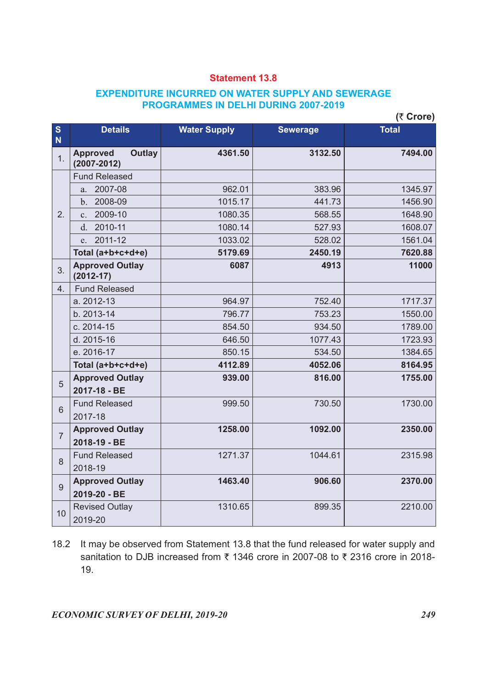# EXPENDITURE INCURRED ON WATER SUPPLY AND SEWERAGE PROGRAMMES IN DELHI DURING 2007-2019

|                |                                                     | <b>EXPENDITURE INCURRED ON WATER SUPPLY AND SEWERAGE</b> | <b>Statement 13.8</b> |              |
|----------------|-----------------------------------------------------|----------------------------------------------------------|-----------------------|--------------|
|                |                                                     | <b>PROGRAMMES IN DELHI DURING 2007-2019</b>              |                       | (₹ Crore)    |
| $\frac{S}{N}$  | <b>Details</b>                                      | <b>Water Supply</b>                                      | <b>Sewerage</b>       | <b>Total</b> |
| 1.             | <b>Outlay</b><br><b>Approved</b><br>$(2007 - 2012)$ | 4361.50                                                  | 3132.50               | 7494.00      |
|                | <b>Fund Released</b>                                |                                                          |                       |              |
|                | a. 2007-08                                          | 962.01                                                   | 383.96                | 1345.97      |
|                | b. 2008-09                                          | 1015.17                                                  | 441.73                | 1456.90      |
| 2.             | 2009-10<br>c.                                       | 1080.35                                                  | 568.55                | 1648.90      |
|                | d. 2010-11                                          | 1080.14                                                  | 527.93                | 1608.07      |
|                | e. 2011-12                                          | 1033.02                                                  | 528.02                | 1561.04      |
|                | Total (a+b+c+d+e)                                   | 5179.69                                                  | 2450.19               | 7620.88      |
| 3.             | <b>Approved Outlay</b><br>$(2012-17)$               | 6087                                                     | 4913                  | 11000        |
| 4.             | <b>Fund Released</b>                                |                                                          |                       |              |
|                | a. 2012-13                                          | 964.97                                                   | 752.40                | 1717.37      |
|                | b. 2013-14                                          | 796.77                                                   | 753.23                | 1550.00      |
|                | c. 2014-15                                          | 854.50                                                   | 934.50                | 1789.00      |
|                | d. 2015-16                                          | 646.50                                                   | 1077.43               | 1723.93      |
|                | e. 2016-17                                          | 850.15                                                   | 534.50                | 1384.65      |
|                | Total (a+b+c+d+e)                                   | 4112.89                                                  | 4052.06               | 8164.95      |
| $\overline{5}$ | <b>Approved Outlay</b><br>2017-18 - BE              | 939.00                                                   | 816.00                | 1755.00      |
| $6\,$          | <b>Fund Released</b><br>2017-18                     | 999.50                                                   | 730.50                | 1730.00      |
| $\overline{7}$ | <b>Approved Outlay</b><br>2018-19 - BE              | 1258.00                                                  | 1092.00               | 2350.00      |
| 8              | <b>Fund Released</b><br>2018-19                     | 1271.37                                                  | 1044.61               | 2315.98      |
| 9              | <b>Approved Outlay</b><br>2019-20 - BE              | 1463.40                                                  | 906.60                | 2370.00      |
| 10             | <b>Revised Outlay</b><br>2019-20                    | 1310.65                                                  | 899.35                | 2210.00      |

18.2 It may be observed from Statement 13.8 that the fund released for water supply and sanitation to DJB increased from  $\overline{\xi}$  1346 crore in 2007-08 to  $\overline{\xi}$  2316 crore in 2018-19.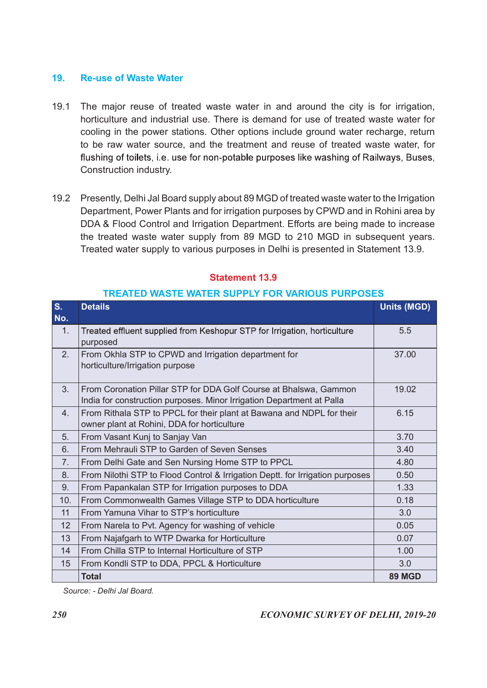#### 19. Re-use of Waste Water

- 19.1 The major reuse of treated waste water in and around the city is for irrigation, horticulture and industrial use. There is demand for use of treated waste water for cooling in the power stations. Other options include ground water recharge, return to be raw water source, and the treatment and reuse of treated waste water, for Construction industry. The major reuse of treated waste water in and around the city is for irrigation,<br>
morticulture and industrial use. There is demand for use of treated waste water for<br>
cooling in the power stations. Other options include gr
- 19.2 Presently, Delhi Jal Board supply about 89 MGD of treated waste water to the Irrigation Department, Power Plants and for irrigation purposes by CPWD and in Rohini area by DDA & Flood Control and Irrigation Department. Efforts are being made to increase the treated waste water supply from 89 MGD to 210 MGD in subsequent years. Treated water supply to various purposes in Delhi is presented in Statement 13.9.

|            | to be raw water source, and the treatment and reuse of treated waste water, for<br>flushing of toilets, i.e. use for non-potable purposes like washing of Railways, Buses,<br>Construction industry.                                                                                                                                                                                                                                       |                    |
|------------|--------------------------------------------------------------------------------------------------------------------------------------------------------------------------------------------------------------------------------------------------------------------------------------------------------------------------------------------------------------------------------------------------------------------------------------------|--------------------|
|            | 19.2 Presently, Delhi Jal Board supply about 89 MGD of treated waste water to the Irrigation<br>Department, Power Plants and for irrigation purposes by CPWD and in Rohini area by<br>DDA & Flood Control and Irrigation Department. Efforts are being made to increase<br>the treated waste water supply from 89 MGD to 210 MGD in subsequent years.<br>Treated water supply to various purposes in Delhi is presented in Statement 13.9. |                    |
|            | <b>Statement 13.9</b>                                                                                                                                                                                                                                                                                                                                                                                                                      |                    |
|            | <b>TREATED WASTE WATER SUPPLY FOR VARIOUS PURPOSES</b>                                                                                                                                                                                                                                                                                                                                                                                     |                    |
| S.<br>No.  | <b>Details</b>                                                                                                                                                                                                                                                                                                                                                                                                                             | <b>Units (MGD)</b> |
| 1.         | Treated effluent supplied from Keshopur STP for Irrigation, horticulture<br>purposed                                                                                                                                                                                                                                                                                                                                                       | 5.5                |
| 2.         | From Okhla STP to CPWD and Irrigation department for<br>horticulture/Irrigation purpose                                                                                                                                                                                                                                                                                                                                                    | 37.00              |
| 3.         | From Coronation Pillar STP for DDA Golf Course at Bhalswa, Gammon<br>India for construction purposes. Minor Irrigation Department at Palla                                                                                                                                                                                                                                                                                                 | 19.02              |
| 4.         | From Rithala STP to PPCL for their plant at Bawana and NDPL for their<br>owner plant at Rohini, DDA for horticulture                                                                                                                                                                                                                                                                                                                       | 6.15               |
| 5.         | From Vasant Kunj to Sanjay Van                                                                                                                                                                                                                                                                                                                                                                                                             | 3.70               |
| 6.         | From Mehrauli STP to Garden of Seven Senses                                                                                                                                                                                                                                                                                                                                                                                                | 3.40               |
| 7.         | From Delhi Gate and Sen Nursing Home STP to PPCL                                                                                                                                                                                                                                                                                                                                                                                           | 4.80               |
| 8.         | From Nilothi STP to Flood Control & Irrigation Deptt. for Irrigation purposes                                                                                                                                                                                                                                                                                                                                                              | 0.50               |
| 9.         | From Papankalan STP for Irrigation purposes to DDA                                                                                                                                                                                                                                                                                                                                                                                         | 1.33               |
| 10.        | From Commonwealth Games Village STP to DDA horticulture                                                                                                                                                                                                                                                                                                                                                                                    | 0.18               |
| 11         | From Yamuna Vihar to STP's horticulture                                                                                                                                                                                                                                                                                                                                                                                                    | 3.0                |
| 12         | From Narela to Pvt. Agency for washing of vehicle                                                                                                                                                                                                                                                                                                                                                                                          | 0.05               |
| 13         | From Najafgarh to WTP Dwarka for Horticulture                                                                                                                                                                                                                                                                                                                                                                                              | 0.07               |
| 14         | From Chilla STP to Internal Horticulture of STP                                                                                                                                                                                                                                                                                                                                                                                            | 1.00               |
| 15         | From Kondli STP to DDA, PPCL & Horticulture                                                                                                                                                                                                                                                                                                                                                                                                | 3.0                |
|            | <b>Total</b>                                                                                                                                                                                                                                                                                                                                                                                                                               | <b>89 MGD</b>      |
|            | Source: - Delhi Jal Board.                                                                                                                                                                                                                                                                                                                                                                                                                 |                    |
|            |                                                                                                                                                                                                                                                                                                                                                                                                                                            |                    |
| <b>250</b> | <b>ECONOMIC SURVEY OF DELHI, 2019-20</b>                                                                                                                                                                                                                                                                                                                                                                                                   |                    |

# Statement 13.9

#### TREATED WASTE WATER SUPPLY FOR VARIOUS PURPOSES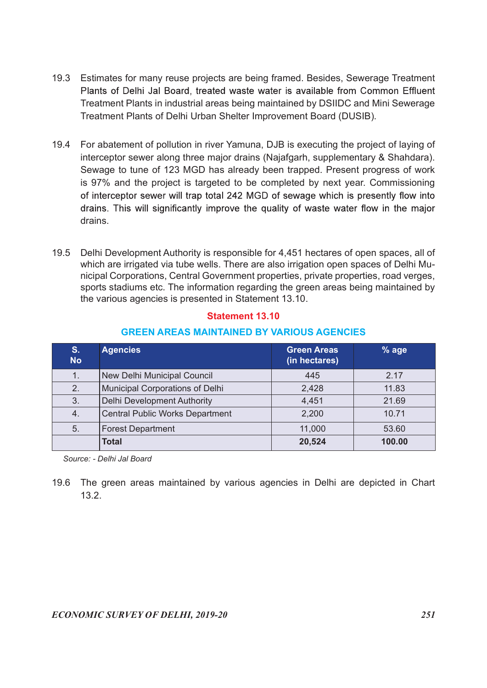- 19.3 Estimates for many reuse projects are being framed. Besides, Sewerage Treatment Plants of Delhi Jal Board, treated waste water is available from Common Effluent Treatment Plants in industrial areas being maintained by DSIIDC and Mini Sewerage Treatment Plants of Delhi Urban Shelter Improvement Board (DUSIB).
- 19.4 For abatement of pollution in river Yamuna, DJB is executing the project of laying of interceptor sewer along three major drains (Najafgarh, supplementary & Shahdara). Sewage to tune of 123 MGD has already been trapped. Present progress of work is 97% and the project is targeted to be completed by next year. Commissioning drains. batement of pollution in river Yamuna, DJB is executing the project of laying of<br>eptor sewer along three major drains (Najafgarh, supplementary & Shahdara),<br>see to tune of 123 MGD has already been trapped. Present progress
- 19.5 Delhi Development Authority is responsible for 4,451 hectares of open spaces, all of which are irrigated via tube wells. There are also irrigation open spaces of Delhi Municipal Corporations, Central Government properties, private properties, road verges, sports stadiums etc. The information regarding the green areas being maintained by the various agencies is presented in Statement 13.10.

|                             | Sewage to tune of 123 MGD has already been trapped. Present progress of work<br>is 97% and the project is targeted to be completed by next year. Commissioning<br>of interceptor sewer will trap total 242 MGD of sewage which is presently flow into<br>drains. This will significantly improve the quality of waste water flow in the major<br>drains.                                                               |                                     |         |  |
|-----------------------------|------------------------------------------------------------------------------------------------------------------------------------------------------------------------------------------------------------------------------------------------------------------------------------------------------------------------------------------------------------------------------------------------------------------------|-------------------------------------|---------|--|
| 19.5                        | Delhi Development Authority is responsible for 4,451 hectares of open spaces, all of<br>which are irrigated via tube wells. There are also irrigation open spaces of Delhi Mu-<br>nicipal Corporations, Central Government properties, private properties, road verges,<br>sports stadiums etc. The information regarding the green areas being maintained by<br>the various agencies is presented in Statement 13.10. |                                     |         |  |
|                             | <b>Statement 13.10</b>                                                                                                                                                                                                                                                                                                                                                                                                 |                                     |         |  |
|                             | <b>GREEN AREAS MAINTAINED BY VARIOUS AGENCIES</b>                                                                                                                                                                                                                                                                                                                                                                      |                                     |         |  |
| S <sub>1</sub><br><b>No</b> | <b>Agencies</b>                                                                                                                                                                                                                                                                                                                                                                                                        | <b>Green Areas</b><br>(in hectares) | $%$ age |  |
| 1.                          | New Delhi Municipal Council                                                                                                                                                                                                                                                                                                                                                                                            | 445                                 | 2.17    |  |
| 2.                          | Municipal Corporations of Delhi                                                                                                                                                                                                                                                                                                                                                                                        | 2,428                               | 11.83   |  |
| 3.                          | <b>Delhi Development Authority</b>                                                                                                                                                                                                                                                                                                                                                                                     | 4,451                               | 21.69   |  |
| 4.                          | <b>Central Public Works Department</b>                                                                                                                                                                                                                                                                                                                                                                                 | 2,200                               | 10.71   |  |
| 5.                          | <b>Forest Department</b>                                                                                                                                                                                                                                                                                                                                                                                               | 11,000                              | 53.60   |  |
|                             | <b>Total</b>                                                                                                                                                                                                                                                                                                                                                                                                           | 20,524                              | 100.00  |  |
|                             | Source: - Delhi Jal Board<br>19.6 The green areas maintained by various agencies in Delhi are depicted in Chart                                                                                                                                                                                                                                                                                                        |                                     |         |  |
|                             | 1 O O                                                                                                                                                                                                                                                                                                                                                                                                                  |                                     |         |  |

## GREEN AREAS MAINTAINED BY VARIOUS AGENCIES

19.6 The green areas maintained by various agencies in Delhi are depicted in Chart 13.2.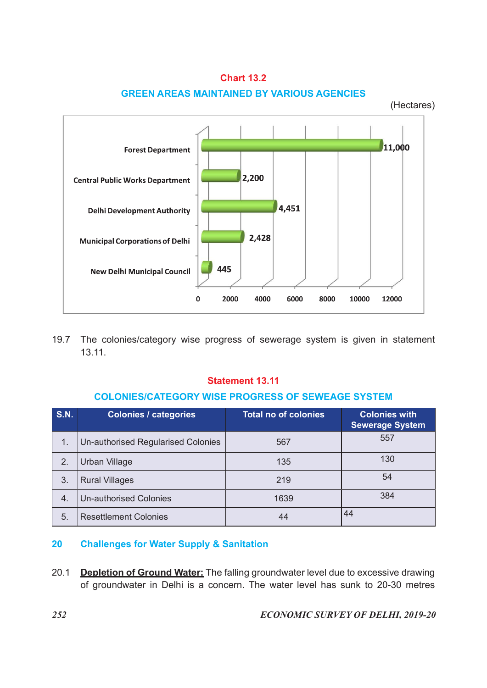

Chart 13.2 GREEN AREAS MAINTAINED BY VARIOUS AGENCIES

# Statement 13.11

#### COLONIES/CATEGORY WISE PROGRESS OF SEWEAGE SYSTEM

|             | <b>Municipal Corporations of Delhi</b>                                                 | 2,428                        |                               |
|-------------|----------------------------------------------------------------------------------------|------------------------------|-------------------------------|
|             | 445<br><b>New Delhi Municipal Council</b>                                              |                              |                               |
|             | 0                                                                                      | 2000<br>4000<br>6000<br>8000 | 10000<br>12000                |
| 19.7        | The colonies/category wise progress of sewerage system is given in statement<br>13.11. |                              |                               |
|             |                                                                                        | <b>Statement 13.11</b>       |                               |
|             | <b>COLONIES/CATEGORY WISE PROGRESS OF SEWEAGE SYSTEM</b>                               |                              |                               |
|             |                                                                                        |                              |                               |
| <b>S.N.</b> | <b>Colonies / categories</b>                                                           | <b>Total no of colonies</b>  | <b>Colonies with</b>          |
| 1.          | Un-authorised Regularised Colonies                                                     | 567                          | <b>Sewerage System</b><br>557 |
| 2.          | Urban Village                                                                          | 135                          | 130                           |
| 3.          | <b>Rural Villages</b>                                                                  | 219                          | 54                            |
| 4.          | <b>Un-authorised Colonies</b>                                                          | 1639                         | 384                           |

# 20 Challenges for Water Supply & Sanitation

20.1 Depletion of Ground Water: The falling groundwater level due to excessive drawing of groundwater in Delhi is a concern. The water level has sunk to 20-30 metres